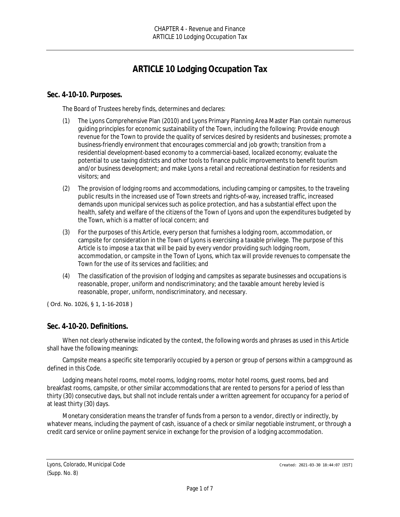# **ARTICLE 10 Lodging Occupation Tax**

#### **Sec. 4-10-10. Purposes.**

The Board of Trustees hereby finds, determines and declares:

- (1) The Lyons Comprehensive Plan (2010) and Lyons Primary Planning Area Master Plan contain numerous guiding principles for economic sustainability of the Town, including the following: Provide enough revenue for the Town to provide the quality of services desired by residents and businesses; promote a business-friendly environment that encourages commercial and job growth; transition from a residential development-based economy to a commercial-based, localized economy; evaluate the potential to use taxing districts and other tools to finance public improvements to benefit tourism and/or business development; and make Lyons a retail and recreational destination for residents and visitors; and
- (2) The provision of lodging rooms and accommodations, including camping or campsites, to the traveling public results in the increased use of Town streets and rights-of-way, increased traffic, increased demands upon municipal services such as police protection, and has a substantial effect upon the health, safety and welfare of the citizens of the Town of Lyons and upon the expenditures budgeted by the Town, which is a matter of local concern; and
- (3) For the purposes of this Article, every person that furnishes a lodging room, accommodation, or campsite for consideration in the Town of Lyons is exercising a taxable privilege. The purpose of this Article is to impose a tax that will be paid by every vendor providing such lodging room, accommodation, or campsite in the Town of Lyons, which tax will provide revenues to compensate the Town for the use of its services and facilities; and
- (4) The classification of the provision of lodging and campsites as separate businesses and occupations is reasonable, proper, uniform and nondiscriminatory; and the taxable amount hereby levied is reasonable, proper, uniform, nondiscriminatory, and necessary.

( Ord. No. 1026, § 1, 1-16-2018 )

#### **Sec. 4-10-20. Definitions.**

When not clearly otherwise indicated by the context, the following words and phrases as used in this Article shall have the following meanings:

*Campsite* means a specific site temporarily occupied by a person or group of persons within a campground as defined in this Code.

*Lodging* means hotel rooms, motel rooms, lodging rooms, motor hotel rooms, guest rooms, bed and breakfast rooms, campsite, or other similar accommodations that are rented to persons for a period of less than thirty (30) consecutive days, but shall not include rentals under a written agreement for occupancy for a period of at least thirty (30) days.

*Monetary consideration* means the transfer of funds from a person to a vendor, directly or indirectly, by whatever means, including the payment of cash, issuance of a check or similar negotiable instrument, or through a credit card service or online payment service in exchange for the provision of a lodging accommodation.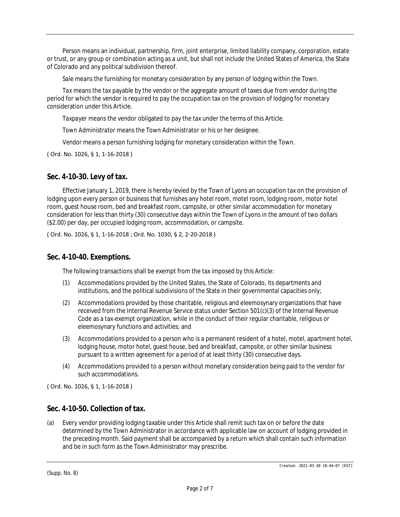*Person* means an individual, partnership, firm, joint enterprise, limited liability company, corporation, estate or trust, or any group or combination acting as a unit, but shall not include the United States of America, the State of Colorado and any political subdivision thereof.

*Sale* means the furnishing for monetary consideration by any person of lodging within the Town.

*Tax* means the tax payable by the vendor or the aggregate amount of taxes due from vendor during the period for which the vendor is required to pay the occupation tax on the provision of lodging for monetary consideration under this Article.

*Taxpayer* means the vendor obligated to pay the tax under the terms of this Article.

*Town Administrator* means the Town Administrator or his or her designee.

*Vendor* means a person furnishing lodging for monetary consideration within the Town.

( Ord. No. 1026, § 1, 1-16-2018 )

#### **Sec. 4-10-30. Levy of tax.**

Effective January 1, 2019, there is hereby levied by the Town of Lyons an occupation tax on the provision of lodging upon every person or business that furnishes any hotel room, motel room, lodging room, motor hotel room, guest house room, bed and breakfast room, campsite, or other similar accommodation for monetary consideration for less than thirty (30) consecutive days within the Town of Lyons in the amount of two dollars (\$2.00) per day, per occupied lodging room, accommodation, or campsite.

( Ord. No. 1026, § 1, 1-16-2018 ; Ord. No. 1030, § 2, 2-20-2018 )

#### **Sec. 4-10-40. Exemptions.**

The following transactions shall be exempt from the tax imposed by this Article:

- (1) Accommodations provided by the United States, the State of Colorado, its departments and institutions, and the political subdivisions of the State in their governmental capacities only;
- (2) Accommodations provided by those charitable, religious and eleemosynary organizations that have received from the Internal Revenue Service status under Section 501(c)(3) of the Internal Revenue Code as a tax-exempt organization, while in the conduct of their regular charitable, religious or eleemosynary functions and activities; and
- (3) Accommodations provided to a person who is a permanent resident of a hotel, motel, apartment hotel, lodging house, motor hotel, guest house, bed and breakfast, campsite, or other similar business pursuant to a written agreement for a period of at least thirty (30) consecutive days.
- (4) Accommodations provided to a person without monetary consideration being paid to the vendor for such accommodations.

( Ord. No. 1026, § 1, 1-16-2018 )

#### **Sec. 4-10-50. Collection of tax.**

(a) Every vendor providing lodging taxable under this Article shall remit such tax on or before the date determined by the Town Administrator in accordance with applicable law on account of lodging provided in the preceding month. Said payment shall be accompanied by a return which shall contain such information and be in such form as the Town Administrator may prescribe.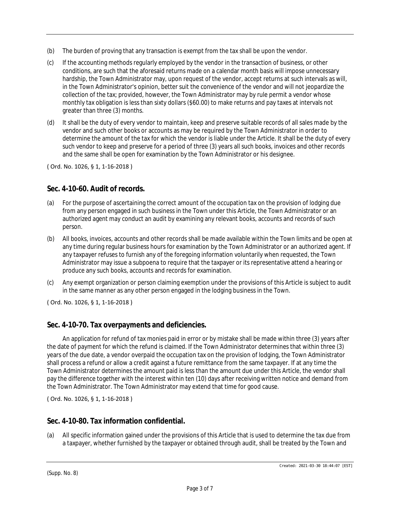- (b) The burden of proving that any transaction is exempt from the tax shall be upon the vendor.
- (c) If the accounting methods regularly employed by the vendor in the transaction of business, or other conditions, are such that the aforesaid returns made on a calendar month basis will impose unnecessary hardship, the Town Administrator may, upon request of the vendor, accept returns at such intervals as will, in the Town Administrator's opinion, better suit the convenience of the vendor and will not jeopardize the collection of the tax; provided, however, the Town Administrator may by rule permit a vendor whose monthly tax obligation is less than sixty dollars (\$60.00) to make returns and pay taxes at intervals not greater than three (3) months.
- (d) It shall be the duty of every vendor to maintain, keep and preserve suitable records of all sales made by the vendor and such other books or accounts as may be required by the Town Administrator in order to determine the amount of the tax for which the vendor is liable under the Article. It shall be the duty of every such vendor to keep and preserve for a period of three (3) years all such books, invoices and other records and the same shall be open for examination by the Town Administrator or his designee.

( Ord. No. 1026, § 1, 1-16-2018 )

## **Sec. 4-10-60. Audit of records.**

- (a) For the purpose of ascertaining the correct amount of the occupation tax on the provision of lodging due from any person engaged in such business in the Town under this Article, the Town Administrator or an authorized agent may conduct an audit by examining any relevant books, accounts and records of such person.
- (b) All books, invoices, accounts and other records shall be made available within the Town limits and be open at any time during regular business hours for examination by the Town Administrator or an authorized agent. If any taxpayer refuses to furnish any of the foregoing information voluntarily when requested, the Town Administrator may issue a subpoena to require that the taxpayer or its representative attend a hearing or produce any such books, accounts and records for examination.
- (c) Any exempt organization or person claiming exemption under the provisions of this Article is subject to audit in the same manner as any other person engaged in the lodging business in the Town.

( Ord. No. 1026, § 1, 1-16-2018 )

## **Sec. 4-10-70. Tax overpayments and deficiencies.**

An application for refund of tax monies paid in error or by mistake shall be made within three (3) years after the date of payment for which the refund is claimed. If the Town Administrator determines that within three (3) years of the due date, a vendor overpaid the occupation tax on the provision of lodging, the Town Administrator shall process a refund or allow a credit against a future remittance from the same taxpayer. If at any time the Town Administrator determines the amount paid is less than the amount due under this Article, the vendor shall pay the difference together with the interest within ten (10) days after receiving written notice and demand from the Town Administrator. The Town Administrator may extend that time for good cause.

( Ord. No. 1026, § 1, 1-16-2018 )

## **Sec. 4-10-80. Tax information confidential.**

(a) All specific information gained under the provisions of this Article that is used to determine the tax due from a taxpayer, whether furnished by the taxpayer or obtained through audit, shall be treated by the Town and

(Supp. No. 8)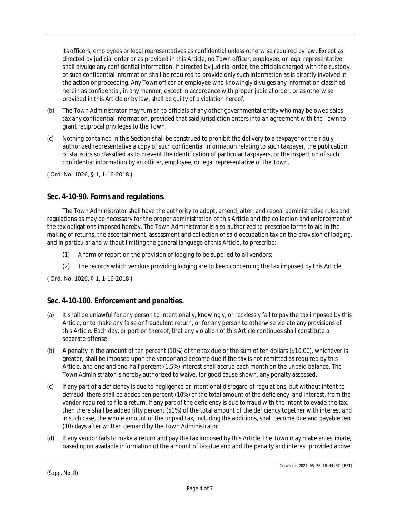its officers, employees or legal representatives as confidential unless otherwise required by law. Except as directed by judicial order or as provided in this Article, no Town officer, employee, or legal representative shall divulge any confidential information. If directed by judicial order, the officials charged with the custody of such confidential information shall be required to provide only such information as is directly involved in the action or proceeding. Any Town officer or employee who knowingly divulges any information classified herein as confidential, in any manner, except in accordance with proper judicial order, or as otherwise provided in this Article or by law, shall be guilty of a violation hereof.

- (b) The Town Administrator may furnish to officials of any other governmental entity who may be owed sales tax any confidential information, provided that said jurisdiction enters into an agreement with the Town to grant reciprocal privileges to the Town.
- (c) Nothing contained in this Section shall be construed to prohibit the delivery to a taxpayer or their duly authorized representative a copy of such confidential information relating to such taxpayer, the publication of statistics so classified as to prevent the identification of particular taxpayers, or the inspection of such confidential information by an officer, employee, or legal representative of the Town.

( Ord. No. 1026, § 1, 1-16-2018 )

## **Sec. 4-10-90. Forms and regulations.**

The Town Administrator shall have the authority to adopt, amend, alter, and repeal administrative rules and regulations as may be necessary for the proper administration of this Article and the collection and enforcement of the tax obligations imposed hereby. The Town Administrator is also authorized to prescribe forms to aid in the making of returns, the ascertainment, assessment and collection of said occupation tax on the provision of lodging, and in particular and without limiting the general language of this Article, to prescribe:

- (1) A form of report on the provision of lodging to be supplied to all vendors;
- (2) The records which vendors providing lodging are to keep concerning the tax imposed by this Article.

( Ord. No. 1026, § 1, 1-16-2018 )

## **Sec. 4-10-100. Enforcement and penalties.**

- (a) It shall be unlawful for any person to intentionally, knowingly, or recklessly fail to pay the tax imposed by this Article, or to make any false or fraudulent return, or for any person to otherwise violate any provisions of this Article. Each day, or portion thereof, that any violation of this Article continues shall constitute a separate offense.
- (b) A penalty in the amount of ten percent (10%) of the tax due or the sum of ten dollars (\$10.00), whichever is greater, shall be imposed upon the vendor and become due if the tax is not remitted as required by this Article, and one and one-half percent (1.5%) interest shall accrue each month on the unpaid balance. The Town Administrator is hereby authorized to waive, for good cause shown, any penalty assessed.
- (c) If any part of a deficiency is due to negligence or intentional disregard of regulations, but without intent to defraud, there shall be added ten percent (10%) of the total amount of the deficiency, and interest, from the vendor required to file a return. If any part of the deficiency is due to fraud with the intent to evade the tax, then there shall be added fifty percent (50%) of the total amount of the deficiency together with interest and in such case, the whole amount of the unpaid tax, including the additions, shall become due and payable ten (10) days after written demand by the Town Administrator.
- (d) If any vendor fails to make a return and pay the tax imposed by this Article, the Town may make an estimate, based upon available information of the amount of tax due and add the penalty and interest provided above.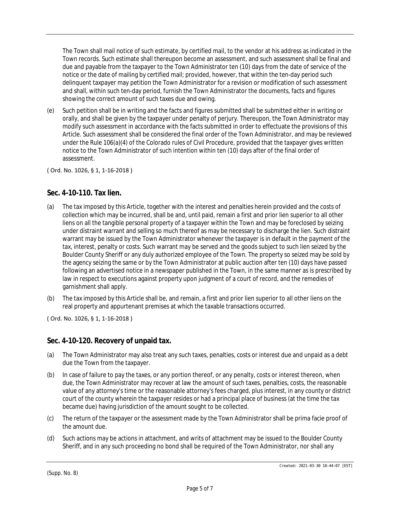The Town shall mail notice of such estimate, by certified mail, to the vendor at his address as indicated in the Town records. Such estimate shall thereupon become an assessment, and such assessment shall be final and due and payable from the taxpayer to the Town Administrator ten (10) days from the date of service of the notice or the date of mailing by certified mail; provided, however, that within the ten-day period such delinquent taxpayer may petition the Town Administrator for a revision or modification of such assessment and shall, within such ten-day period, furnish the Town Administrator the documents, facts and figures showing the correct amount of such taxes due and owing.

(e) Such petition shall be in writing and the facts and figures submitted shall be submitted either in writing or orally, and shall be given by the taxpayer under penalty of perjury. Thereupon, the Town Administrator may modify such assessment in accordance with the facts submitted in order to effectuate the provisions of this Article. Such assessment shall be considered the final order of the Town Administrator, and may be reviewed under the Rule 106(a)(4) of the Colorado rules of Civil Procedure, provided that the taxpayer gives written notice to the Town Administrator of such intention within ten (10) days after of the final order of assessment.

( Ord. No. 1026, § 1, 1-16-2018 )

## **Sec. 4-10-110. Tax lien.**

- (a) The tax imposed by this Article, together with the interest and penalties herein provided and the costs of collection which may be incurred, shall be and, until paid, remain a first and prior lien superior to all other liens on all the tangible personal property of a taxpayer within the Town and may be foreclosed by seizing under distraint warrant and selling so much thereof as may be necessary to discharge the lien. Such distraint warrant may be issued by the Town Administrator whenever the taxpayer is in default in the payment of the tax, interest, penalty or costs. Such warrant may be served and the goods subject to such lien seized by the Boulder County Sheriff or any duly authorized employee of the Town. The property so seized may be sold by the agency seizing the same or by the Town Administrator at public auction after ten (10) days have passed following an advertised notice in a newspaper published in the Town, in the same manner as is prescribed by law in respect to executions against property upon judgment of a court of record, and the remedies of garnishment shall apply.
- (b) The tax imposed by this Article shall be, and remain, a first and prior lien superior to all other liens on the real property and appurtenant premises at which the taxable transactions occurred.

( Ord. No. 1026, § 1, 1-16-2018 )

## **Sec. 4-10-120. Recovery of unpaid tax.**

- (a) The Town Administrator may also treat any such taxes, penalties, costs or interest due and unpaid as a debt due the Town from the taxpayer.
- (b) In case of failure to pay the taxes, or any portion thereof, or any penalty, costs or interest thereon, when due, the Town Administrator may recover at law the amount of such taxes, penalties, costs, the reasonable value of any attorney's time or the reasonable attorney's fees charged, plus interest, in any county or district court of the county wherein the taxpayer resides or had a principal place of business (at the time the tax became due) having jurisdiction of the amount sought to be collected.
- (c) The return of the taxpayer or the assessment made by the Town Administrator shall be prima facie proof of the amount due.
- (d) Such actions may be actions in attachment, and writs of attachment may be issued to the Boulder County Sheriff, and in any such proceeding no bond shall be required of the Town Administrator, nor shall any

(Supp. No. 8)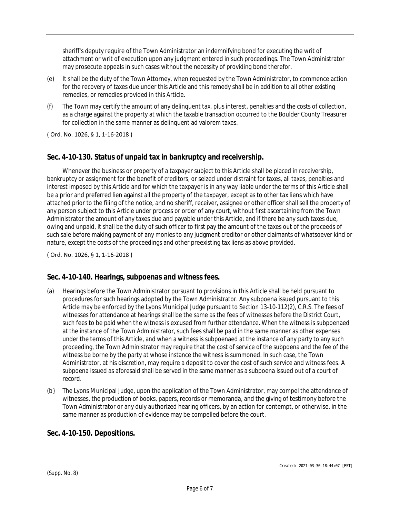sheriff's deputy require of the Town Administrator an indemnifying bond for executing the writ of attachment or writ of execution upon any judgment entered in such proceedings. The Town Administrator may prosecute appeals in such cases without the necessity of providing bond therefor.

- (e) It shall be the duty of the Town Attorney, when requested by the Town Administrator, to commence action for the recovery of taxes due under this Article and this remedy shall be in addition to all other existing remedies, or remedies provided in this Article.
- (f) The Town may certify the amount of any delinquent tax, plus interest, penalties and the costs of collection, as a charge against the property at which the taxable transaction occurred to the Boulder County Treasurer for collection in the same manner as delinquent ad valorem taxes.

( Ord. No. 1026, § 1, 1-16-2018 )

## **Sec. 4-10-130. Status of unpaid tax in bankruptcy and receivership.**

Whenever the business or property of a taxpayer subject to this Article shall be placed in receivership, bankruptcy or assignment for the benefit of creditors, or seized under distraint for taxes, all taxes, penalties and interest imposed by this Article and for which the taxpayer is in any way liable under the terms of this Article shall be a prior and preferred lien against all the property of the taxpayer, except as to other tax liens which have attached prior to the filing of the notice, and no sheriff, receiver, assignee or other officer shall sell the property of any person subject to this Article under process or order of any court, without first ascertaining from the Town Administrator the amount of any taxes due and payable under this Article, and if there be any such taxes due, owing and unpaid, it shall be the duty of such officer to first pay the amount of the taxes out of the proceeds of such sale before making payment of any monies to any judgment creditor or other claimants of whatsoever kind or nature, except the costs of the proceedings and other preexisting tax liens as above provided.

( Ord. No. 1026, § 1, 1-16-2018 )

## **Sec. 4-10-140. Hearings, subpoenas and witness fees.**

- (a) Hearings before the Town Administrator pursuant to provisions in this Article shall be held pursuant to procedures for such hearings adopted by the Town Administrator. Any subpoena issued pursuant to this Article may be enforced by the Lyons Municipal Judge pursuant to Section 13-10-112(2), C.R.S. The fees of witnesses for attendance at hearings shall be the same as the fees of witnesses before the District Court, such fees to be paid when the witness is excused from further attendance. When the witness is subpoenaed at the instance of the Town Administrator, such fees shall be paid in the same manner as other expenses under the terms of this Article, and when a witness is subpoenaed at the instance of any party to any such proceeding, the Town Administrator may require that the cost of service of the subpoena and the fee of the witness be borne by the party at whose instance the witness is summoned. In such case, the Town Administrator, at his discretion, may require a deposit to cover the cost of such service and witness fees. A subpoena issued as aforesaid shall be served in the same manner as a subpoena issued out of a court of record.
- (b} The Lyons Municipal Judge, upon the application of the Town Administrator, may compel the attendance of witnesses, the production of books, papers, records or memoranda, and the giving of testimony before the Town Administrator or any duly authorized hearing officers, by an action for contempt, or otherwise, in the same manner as production of evidence may be compelled before the court.

## **Sec. 4-10-150. Depositions.**

(Supp. No. 8)